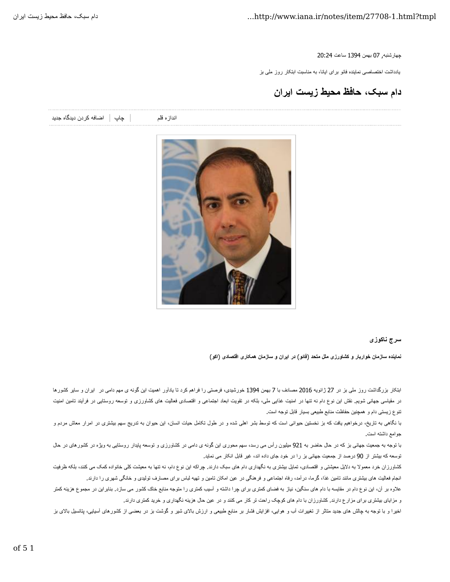چهارشنبه, 07 بهمن 1394 ساعت 20:24

یادداشت اختصاصی نماینده فائو برای ایانا، به مناسبت ابتکار روز ملی بز

**دام سبک، حافظ محيط زيست ايران**

اندازه قلم مساندان و اضافه كردن ديدگاه جديد

## **سرج ناکوزی**

**نماينده سازمان خواربار و کشاورزی ملل متحد** (**فائو**) **در ايران و سازمان همکاری اقتصادی** (**اکو**)

ابتکار بزرگداشت روز ملی بز در 27 ژانويه 2016 مصادف با 7 بهمن 1394 خورشيدی، فرصتی را فراهم کرد تا يادآور اهميت اين گونه ی مهم دامی در ايران و ساير کشورها در مقياسی جهانی شويع. نقش اين نوع دام نه تنها در امنيت غذايی مليکه در تقويت ابعاد اجتماعی و اقتصادی فعاليت های کشاورزی و توسعه روستايی در فرآيند تامين امنيت تنوع زيستی دام و همچنين حفاظت منابع طبيعی بسيار قابل توجه است.

با نگاهی به تاريخ، درخواهيم يافت که بز نخستين حيوانی است که توسطر اشده و در طول تکامل حيات انسان، اين حيوان به تدريج سهم بيشتری در امرار معلش مردم و جوامع داشته است.

با توجه به جمعيت جهانی بز كه در حال حاضر به 921 ميليون رأس می رسد، سهم محوری اين گونه ی دامی در کشوره می در حال وستايی به ويژه در کشورهای در حال توسعه كه بيشتر از 90 درصد از جمعيت جهانی بز را در خود جای داده اند، غير قابل انكار می نمايد.

کشاورزان خرد معمولا به دلایل معیشتی و اقتصادی، تمایل بیشتری به دکیم به که این نوع دام، نه تنها به معیشت کلی خانواده کمک می کنند، بلکه ظرفیت انجام فعاليت های بيشتری مانند تامين غذا، گرما، درآمد، رفاه اجتماعی و فين امکان کمون و تنهيه لباس برای مصارف توليدی و خانگی شهری را دارند.

علاوه بر آن، اين نوع دام در مقايسه با دام های سنگين، نياز به فضای کمتری اسيب کمتری را متوجه منابع خاک کشور می سازد. بنابراين در مجموع هزينه کمتر و مزايای بيشتری برای مزارع دارند. کشاورزان با دام های کوچک راحت تر کار می کنند و در عین حال هزينه نگهداری و خريد کمتری دارند.

اخيرا و با توجه به چالش های جديد متاثر از تغييرات آب و هوايی، افزايش نشار بر مواسط بايد مارست مشار است به مستقل شده است بو استان بالای ایش بالای بز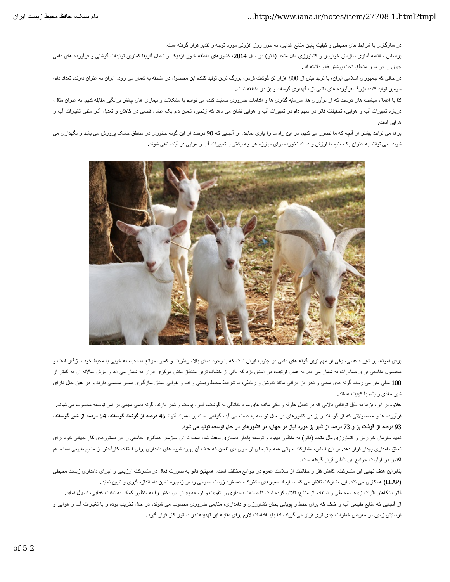در سازگاری با شرايط های محيطی و کيفيت پايين منابع غذايی، به طور روز افزونی مورد توجه و تقدير قرار گرفته است.

براساس سالنامه آماری سازمان خواربار و کشاورزی ملل متحد (فائو) در سال 2014، کشورهای منطقه خاور نزدیک و شمال آفریقا کشتی افراورش فوقر فرآورده های دامی جهان را در ميان مناطق نحت پوشش فائو داشته اند.

در حالی که جمهوری اسلامی ايران، با توليد بيش از 800 هزار تن گوشت قرمز، بزرگ ترين توليد کننده اين محصول در منفسل می رود. ايران به عنوان دارنده تعداد دام، سومين توليد کننده بزرگ فرآورده های ناشی از نگهداری گوسفند و بز در منطقه است.

اذا با اعمال سياست های درست که از نوآوری ها، سرمايه گذاری ها و اقدامات مستوانيم مشکلات و بيماری های چالش برانگيز مقابله کنيم. به عنوان مثال، درباره تغييرات آب و هوايی، تحقيقات فائو در سهم دام در تغييرات آب و هوايی نشان در مواسطه علی موسله که مع است که مع است و تعديل آثار منفی تغييرات آب و هوايی است.

بزها می توانند بيشتر از آنچه که ما تصور می کنيم، در اين راه ما را باری که 90 هرصد از اين گونه جانوری در مناطق خشک پرورش می يابند و نگهداری می شوند، می توانند به عنوان يک منبع با ارزش و دست نخورده برای مبارزه هر چه بيشتر با تغييرات آب و هوايی در آينده تلقی شوند.



برای نمونه، بز شيرده عنني، يکي از مهم ترين گونه های دامی در جنوب ايران است که با وجود دمای بالا، رطوبت مراتم مراسب، به خوبی با محيط خود سازگار است و محصول مناسبی برای صادرات به شمار می آيد. به همين ترتيب، در استان يزد که يکی از خشک ترين مناطق بخش مرکزی ايران به شمار می آيد و بارش سالانه آن به کمتر از 100 ميلی متر می رسد، گونه های محلی و نادر بز ايرانی مانند ندوشن و رباطی، با شرايط محيط زيستی و آب و هوايی استان سازگاری بسيار مناسبی دارند و در عين حال دارای شير مغذی و يشم با کيفيت هستند

علاوه بر اين، بزها به نليل توانايی بالايی که در تبديل علوفه و باقی مانده ماند مانگه به گوشت و شوندار شو توسعه و در است توسعه محسوب می شوند. فرآورده ها و محصولاتی که از گوسفند و بز در کشورهای در حال توسعه به دست می آید، گواهی است بر اهمیت **از در انت و در اش**ع کوسفند، 54 **درصد از شیر گوسفن**د، 93 درصد از گوشت بز و 73 درصد از شیر بز مورد نیاز در جهان، در کشورهای در حال توسعه تولید می شود.

نعهد سازمان خواربار و کشاورزی ملل متحد (فائو) به منظور بهبود و توسعه پایدار دامداری باعث شده است انتااین سازمان سازمان میشه معاملی را در دستورهای کار جهانی خود برای تحقق دامداری پايدار قرار دهد. بر اين اساس، مشارکت جهانی همه جانبه ای از مود شعوه های دامداری برای استفاده کارآمدتر از منابع طبيعی است، هم اکنون در اولويت جوامع بين المللی قرار گرفته است.

بنابراين هنف نهايی اين مشارکت، کاهش فقر و حفاظت از سلامت عموم در جوامع مختلف است. همچنين فائو به صورت فعال در مشارکت ارزيابی و اجرای دامداری زيست محيطی (LEAP) همکاری می کند. اين مشارکت تلاش می کند با ايجاد معيار های مشترک، عملکرد زيست محيطی را بر زنجيره تامين دام اندازه گيری و تبيين نمايد.

فائو با كاهش اثرات زيست محيطی و استفاده از منابع، تلاش كرده است كماست دامداری را تقويت و توسعه پايدار اين بخش را به منظور كمك به امنيت غذايی، تسهيل نمايد.

از آنجايی که منابع طبيعی آب و خاک که برای حفظ و پويايی بخش کشاورزی و دامداری، منابعی ضروری محسوب می شوند، در حال تغیيرات آب و هوايی و فرسايش زمين در معرض خطرات جدی تری قرار می گيرند، لذا بايد اقدامات لازم برای مقابله اين تهديدها در دستور كار قرار گيرد.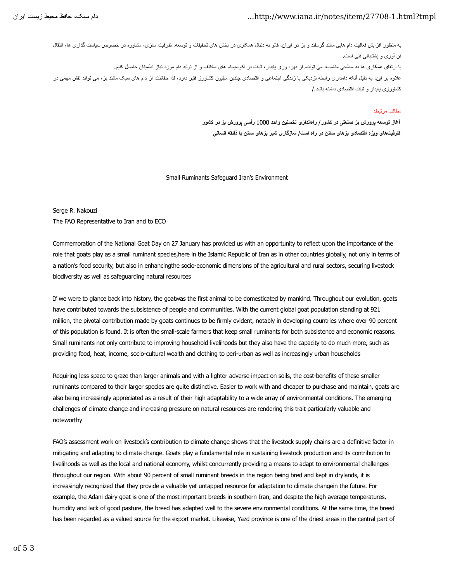## ايرانزيستمحيط دام،حافظسبک ...http://www.iana.ir/notes/item/27708-1.html?tmpl

به منظور افزايش فعاليت دام هايی مانند گوسفند و بز در ايران، فافزه معالي تحقيقات و توسعه، ظرفيت سازی، مشاوره در خصوص سياست گذاری ها، انتقال فن أوری و يشتيبانی فنی است. با ارتقای همکاری ها به سطحی مناسب، می توانيم از بهره وری پايدار، ثبات در اکوسيستم های مختلف و از توليد دام مورد نياز اطمينان حاصل کنيم. علاوه بر اين، به دليل آنکه دامداری رابطه نزديکی با زندگی اجتماعی وقتير میشونپن کشاورز فقير دارد، لذا حفاظت از دام های سبک مانند بز، می تواند نقش مهمی در کشاورزی بایدار و ثبات اقتصادی داشته باشد /

## مطالب مر تبط:

**آغاز توسعه پرورش بز صنعتی در کشور**/ **راهاندازی نخستين واحد** 1000 **رأسی پرورش بز در کشور ظرفيتهای ويژه اقتصادی بزهای سانن در راه است**/ **سازگاری شير بزهای سانن با ذائقه انسانی**

## Small Ruminants Safeguard Iran's Environment

Serge R. Nakouzi The FAO Representative to Iran and to ECO

Commemoration of the National Goat Day on 27 January has provided us with an opportunity to reflect upon the importance of the role that goats play as a small ruminant species,here in the Islamic Republic of Iran as in other countries globally, not only in terms of a nation's food security, but also in enhancingthe socio-economic dimensions of the agricultural and rural sectors, securing livestock biodiversity as well as safeguarding natural resources

If we were to glance back into history, the goatwas the first animal to be domesticated by mankind. Throughout our evolution, goats have contributed towards the subsistence of people and communities. With the current global goat population standing at 921 million, the pivotal contribution made by goats continues to be firmly evident, notably in developing countries where over 90 percent of this population is found. It is often the small-scale farmers that keep small ruminants for both subsistence and economic reasons. Small ruminants not only contribute to improving household livelihoods but they also have the capacity to do much more, such as providing food, heat, income, socio-cultural wealth and clothing to peri-urban as well as increasingly urban households

Requiring less space to graze than larger animals and with a lighter adverse impact on soils, the cost-benefits of these smaller ruminants compared to their larger species are quite distinctive. Easier to work with and cheaper to purchase and maintain, goats are also being increasingly appreciated as a result of their high adaptability to a wide array of environmental conditions. The emerging challenges of climate change and increasing pressure on natural resources are rendering this trait particularly valuable and noteworthy

FAO's assessment work on livestock's contribution to climate change shows that the livestock supply chains are a definitive factor in mitigating and adapting to climate change. Goats play a fundamental role in sustaining livestock production and its contribution to livelihoods as well as the local and national economy, whilst concurrently providing a means to adapt to environmental challenges throughout our region. With about 90 percent of small ruminant breeds in the region being bred and kept in drylands, it is increasingly recognized that they provide a valuable yet untapped resource for adaptation to climate changein the future. For example, the Adani dairy goat is one of the most important breeds in southern Iran, and despite the high average temperatures, humidity and lack of good pasture, the breed has adapted well to the severe environmental conditions. At the same time, the breed has been regarded as a valued source for the export market. Likewise, Yazd province is one of the driest areas in the central part of